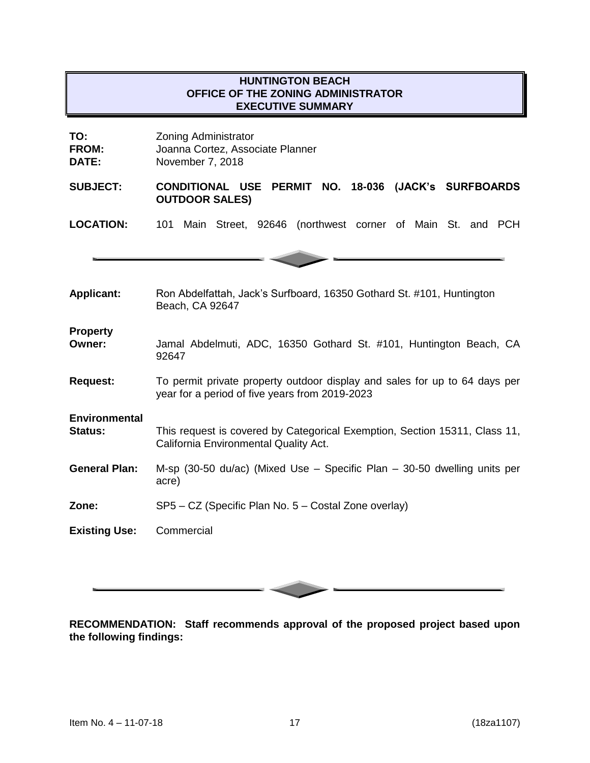# **HUNTINGTON BEACH OFFICE OF THE ZONING ADMINISTRATOR EXECUTIVE SUMMARY**

| TO:<br><b>FROM:</b><br>DATE:           | <b>Zoning Administrator</b><br>Joanna Cortez, Associate Planner<br>November 7, 2018                                          |
|----------------------------------------|------------------------------------------------------------------------------------------------------------------------------|
| <b>SUBJECT:</b>                        | <b>CONDITIONAL USE</b><br>PERMIT NO. 18-036 (JACK's SURFBOARDS<br><b>OUTDOOR SALES)</b>                                      |
| <b>LOCATION:</b>                       | 101 Main Street, 92646 (northwest corner of Main St. and PCH                                                                 |
|                                        |                                                                                                                              |
| <b>Applicant:</b>                      | Ron Abdelfattah, Jack's Surfboard, 16350 Gothard St. #101, Huntington<br>Beach, CA 92647                                     |
| <b>Property</b><br>Owner:              | Jamal Abdelmuti, ADC, 16350 Gothard St. #101, Huntington Beach, CA<br>92647                                                  |
| <b>Request:</b>                        | To permit private property outdoor display and sales for up to 64 days per<br>year for a period of five years from 2019-2023 |
| <b>Environmental</b><br><b>Status:</b> | This request is covered by Categorical Exemption, Section 15311, Class 11,<br>California Environmental Quality Act.          |
| <b>General Plan:</b>                   | M-sp (30-50 du/ac) (Mixed Use - Specific Plan - 30-50 dwelling units per<br>acre)                                            |
| Zone:                                  | SP5 - CZ (Specific Plan No. 5 - Costal Zone overlay)                                                                         |
| <b>Existing Use:</b>                   | Commercial                                                                                                                   |

**RECOMMENDATION: Staff recommends approval of the proposed project based upon the following findings:**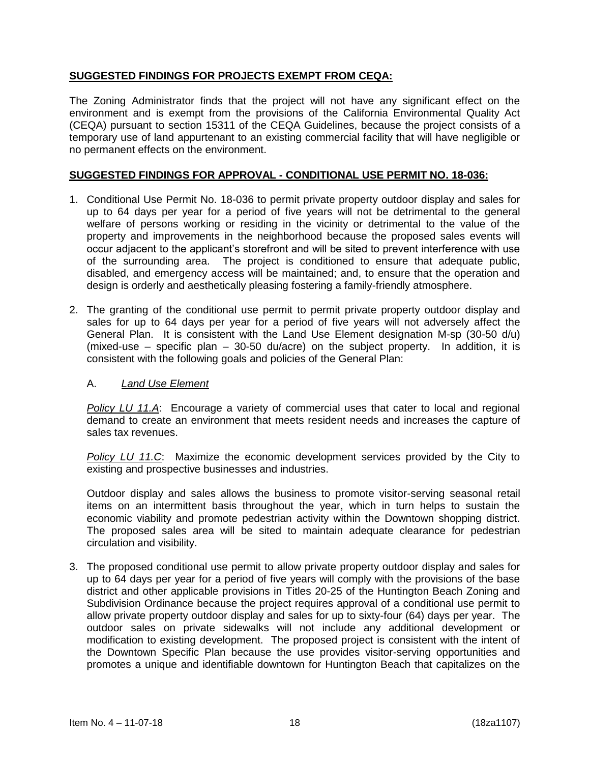## **SUGGESTED FINDINGS FOR PROJECTS EXEMPT FROM CEQA:**

The Zoning Administrator finds that the project will not have any significant effect on the environment and is exempt from the provisions of the California Environmental Quality Act (CEQA) pursuant to section 15311 of the CEQA Guidelines, because the project consists of a temporary use of land appurtenant to an existing commercial facility that will have negligible or no permanent effects on the environment.

## **SUGGESTED FINDINGS FOR APPROVAL - CONDITIONAL USE PERMIT NO. 18-036:**

- 1. Conditional Use Permit No. 18-036 to permit private property outdoor display and sales for up to 64 days per year for a period of five years will not be detrimental to the general welfare of persons working or residing in the vicinity or detrimental to the value of the property and improvements in the neighborhood because the proposed sales events will occur adjacent to the applicant's storefront and will be sited to prevent interference with use of the surrounding area. The project is conditioned to ensure that adequate public, disabled, and emergency access will be maintained; and, to ensure that the operation and design is orderly and aesthetically pleasing fostering a family-friendly atmosphere.
- 2. The granting of the conditional use permit to permit private property outdoor display and sales for up to 64 days per year for a period of five years will not adversely affect the General Plan. It is consistent with the Land Use Element designation M-sp (30-50 d/u) (mixed-use – specific plan – 30-50 du/acre) on the subject property. In addition, it is consistent with the following goals and policies of the General Plan:

### A. *Land Use Element*

*Policy LU 11.A*: Encourage a variety of commercial uses that cater to local and regional demand to create an environment that meets resident needs and increases the capture of sales tax revenues.

*Policy LU 11.C*: Maximize the economic development services provided by the City to existing and prospective businesses and industries.

Outdoor display and sales allows the business to promote visitor-serving seasonal retail items on an intermittent basis throughout the year, which in turn helps to sustain the economic viability and promote pedestrian activity within the Downtown shopping district. The proposed sales area will be sited to maintain adequate clearance for pedestrian circulation and visibility.

3. The proposed conditional use permit to allow private property outdoor display and sales for up to 64 days per year for a period of five years will comply with the provisions of the base district and other applicable provisions in Titles 20-25 of the Huntington Beach Zoning and Subdivision Ordinance because the project requires approval of a conditional use permit to allow private property outdoor display and sales for up to sixty-four (64) days per year. The outdoor sales on private sidewalks will not include any additional development or modification to existing development. The proposed project is consistent with the intent of the Downtown Specific Plan because the use provides visitor-serving opportunities and promotes a unique and identifiable downtown for Huntington Beach that capitalizes on the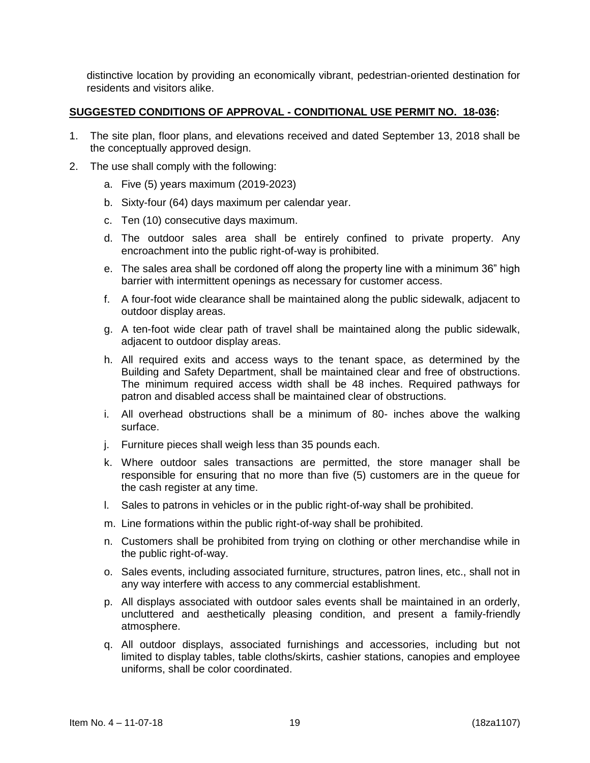distinctive location by providing an economically vibrant, pedestrian-oriented destination for residents and visitors alike.

#### **SUGGESTED CONDITIONS OF APPROVAL - CONDITIONAL USE PERMIT NO. 18-036:**

- 1. The site plan, floor plans, and elevations received and dated September 13, 2018 shall be the conceptually approved design.
- 2. The use shall comply with the following:
	- a. Five (5) years maximum (2019-2023)
	- b. Sixty-four (64) days maximum per calendar year.
	- c. Ten (10) consecutive days maximum.
	- d. The outdoor sales area shall be entirely confined to private property. Any encroachment into the public right-of-way is prohibited.
	- e. The sales area shall be cordoned off along the property line with a minimum 36" high barrier with intermittent openings as necessary for customer access.
	- f. A four-foot wide clearance shall be maintained along the public sidewalk, adjacent to outdoor display areas.
	- g. A ten-foot wide clear path of travel shall be maintained along the public sidewalk, adjacent to outdoor display areas.
	- h. All required exits and access ways to the tenant space, as determined by the Building and Safety Department, shall be maintained clear and free of obstructions. The minimum required access width shall be 48 inches. Required pathways for patron and disabled access shall be maintained clear of obstructions.
	- i. All overhead obstructions shall be a minimum of 80- inches above the walking surface.
	- j. Furniture pieces shall weigh less than 35 pounds each.
	- k. Where outdoor sales transactions are permitted, the store manager shall be responsible for ensuring that no more than five (5) customers are in the queue for the cash register at any time.
	- l. Sales to patrons in vehicles or in the public right-of-way shall be prohibited.
	- m. Line formations within the public right-of-way shall be prohibited.
	- n. Customers shall be prohibited from trying on clothing or other merchandise while in the public right-of-way.
	- o. Sales events, including associated furniture, structures, patron lines, etc., shall not in any way interfere with access to any commercial establishment.
	- p. All displays associated with outdoor sales events shall be maintained in an orderly, uncluttered and aesthetically pleasing condition, and present a family-friendly atmosphere.
	- q. All outdoor displays, associated furnishings and accessories, including but not limited to display tables, table cloths/skirts, cashier stations, canopies and employee uniforms, shall be color coordinated.